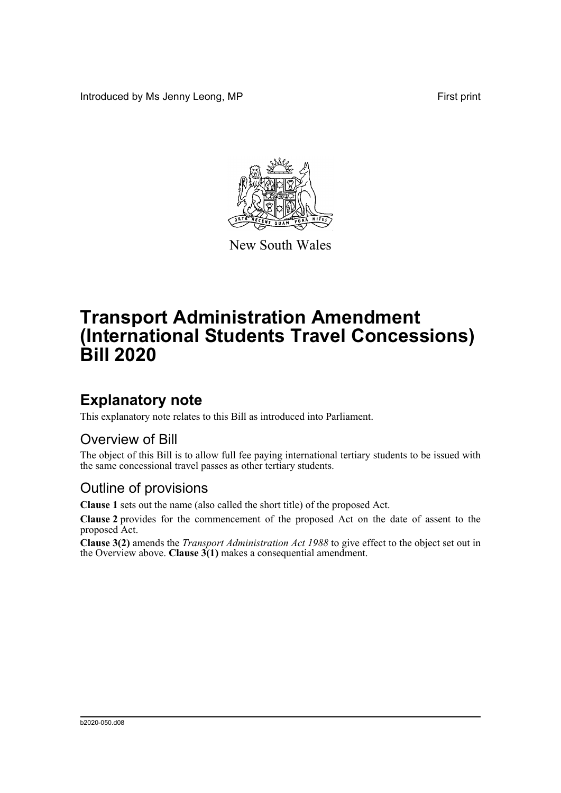Introduced by Ms Jenny Leong, MP First print



New South Wales

# **Transport Administration Amendment (International Students Travel Concessions) Bill 2020**

## **Explanatory note**

This explanatory note relates to this Bill as introduced into Parliament.

#### Overview of Bill

The object of this Bill is to allow full fee paying international tertiary students to be issued with the same concessional travel passes as other tertiary students.

#### Outline of provisions

**Clause 1** sets out the name (also called the short title) of the proposed Act.

**Clause 2** provides for the commencement of the proposed Act on the date of assent to the proposed Act.

**Clause 3(2)** amends the *Transport Administration Act 1988* to give effect to the object set out in the Overview above. **Clause**  $3(1)$  makes a consequential amendment.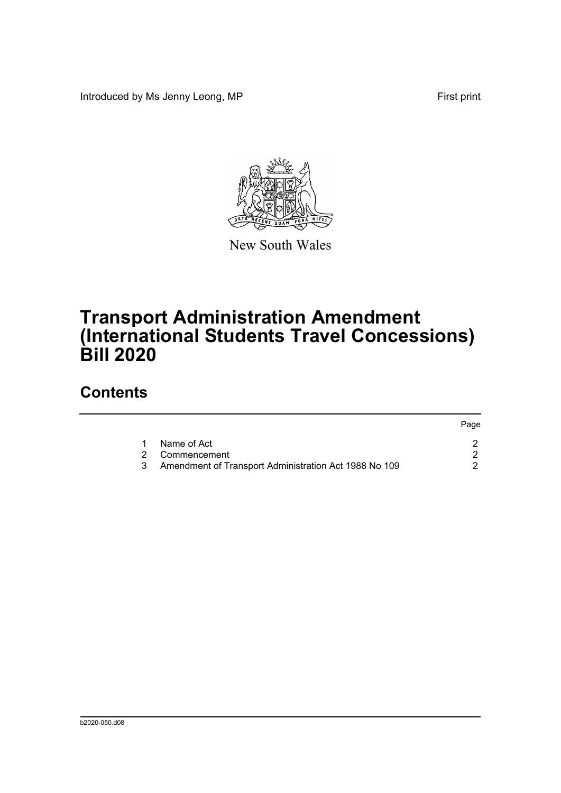Introduced by Ms Jenny Leong, MP First print



New South Wales

## **Transport Administration Amendment (International Students Travel Concessions) Bill 2020**

### **Contents**

|   |                                                       | Page |
|---|-------------------------------------------------------|------|
|   | Name of Act                                           |      |
|   | 2 Commencement                                        |      |
| 3 | Amendment of Transport Administration Act 1988 No 109 |      |
|   |                                                       |      |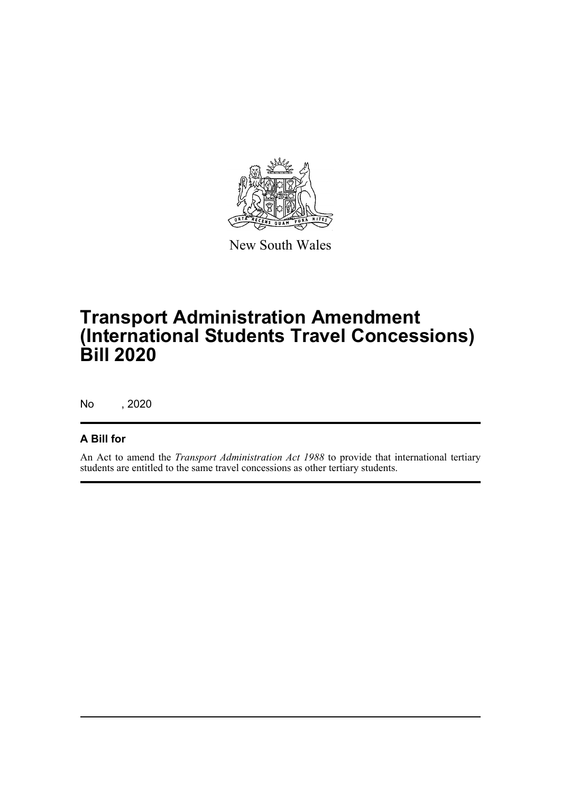

New South Wales

## **Transport Administration Amendment (International Students Travel Concessions) Bill 2020**

No , 2020

#### **A Bill for**

An Act to amend the *Transport Administration Act 1988* to provide that international tertiary students are entitled to the same travel concessions as other tertiary students.